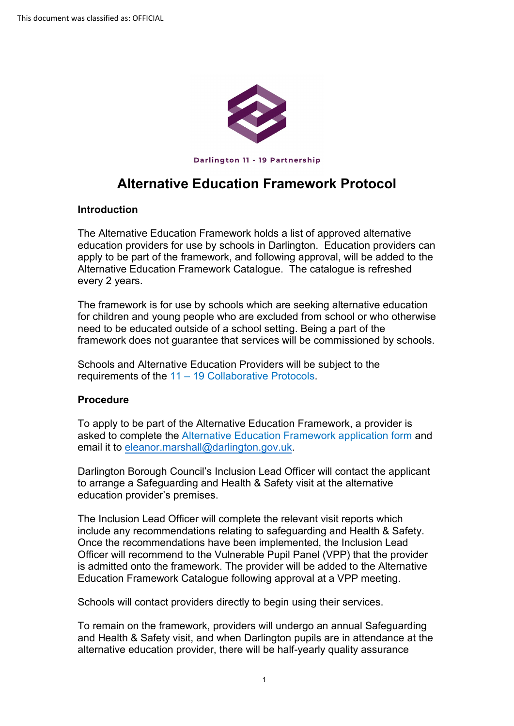

Darlington **11** - 19 Partnership

## **Alternative Education Framework Protocol**

## **Introduction**

The Alternative Education Framework holds a list of approved alternative education providers for use by schools in Darlington. Education providers can apply to be part of the framework, and following approval, will be added to the Alternative Education Framework Catalogue. The catalogue is refreshed every 2 years.

 need to be educated outside of a school setting. Being a part of the The framework is for use by schools which are seeking alternative education for children and young people who are excluded from school or who otherwise framework does not guarantee that services will be commissioned by schools.

 requirements of the [11 – 19 Collaborative Protocols.](https://www.darlington.gov.uk/education-and-learning/11-19-partnership/11-19-collaborative-protocols/)  Schools and Alternative Education Providers will be subject to the

## **Procedure**

To apply to be part of the Alternative Education Framework, a provider is asked to complete th[e Alternative Education Framework](https://www.darlington.gov.uk/media/12455/darlington-alternative-provision-offer-blank.pdf) application form and email it to [eleanor.marshall@darlington.gov.uk.](mailto:karen.williamson@darlington.gov.uk)

 education provider's premises. Darlington Borough Council's Inclusion Lead Officer will contact the applicant to arrange a Safeguarding and Health & Safety visit at the alternative

 is admitted onto the framework. The provider will be added to the Alternative Education Framework Catalogue following approval at a VPP meeting. The Inclusion Lead Officer will complete the relevant visit reports which include any recommendations relating to safeguarding and Health & Safety. Once the recommendations have been implemented, the Inclusion Lead Officer will recommend to the Vulnerable Pupil Panel (VPP) that the provider

Schools will contact providers directly to begin using their services.

To remain on the framework, providers will undergo an annual Safeguarding and Health & Safety visit, and when Darlington pupils are in attendance at the alternative education provider, there will be half-yearly quality assurance